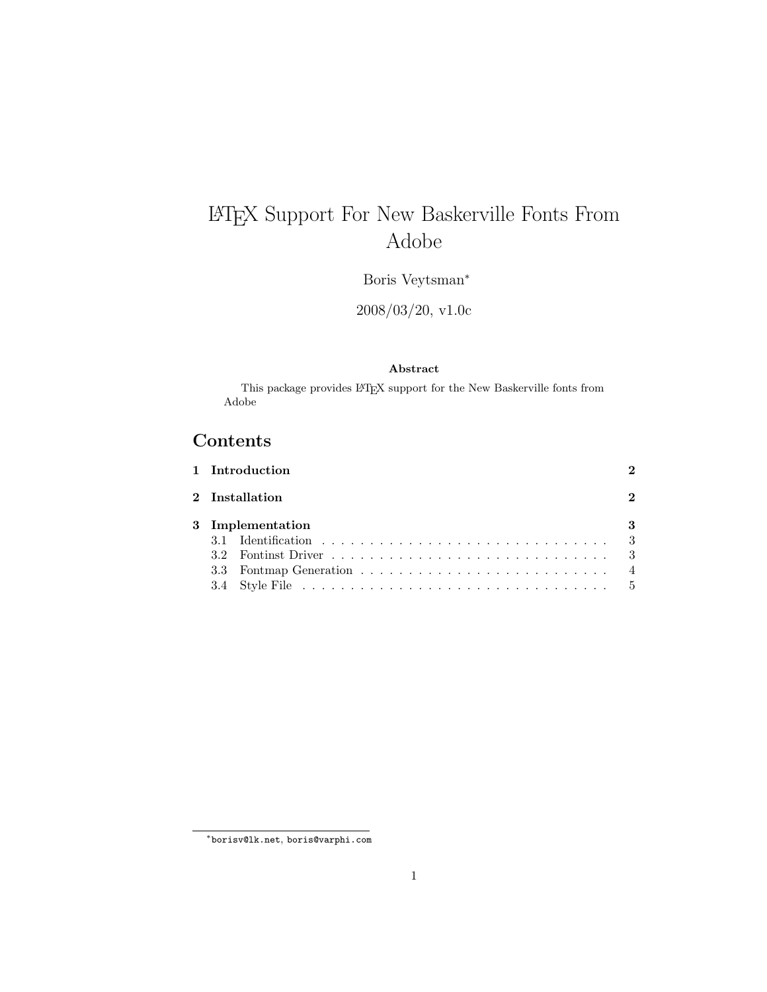# LATEX Support For New Baskerville Fonts From Adobe

Boris Veytsman<sup>∗</sup>

2008/03/20, v1.0c

#### Abstract

This package provides  $\operatorname{LATEX}$  support for the New Baskerville fonts from Adobe

### Contents

|  | 1 Introduction   |   |
|--|------------------|---|
|  | 2 Installation   | 2 |
|  | 3 Implementation | 3 |
|  |                  |   |
|  |                  |   |
|  |                  |   |
|  |                  |   |

<sup>∗</sup>[borisv@lk.net](mailto:borisv@lk.net), [boris@varphi.com](mailto:boris@varphi.com)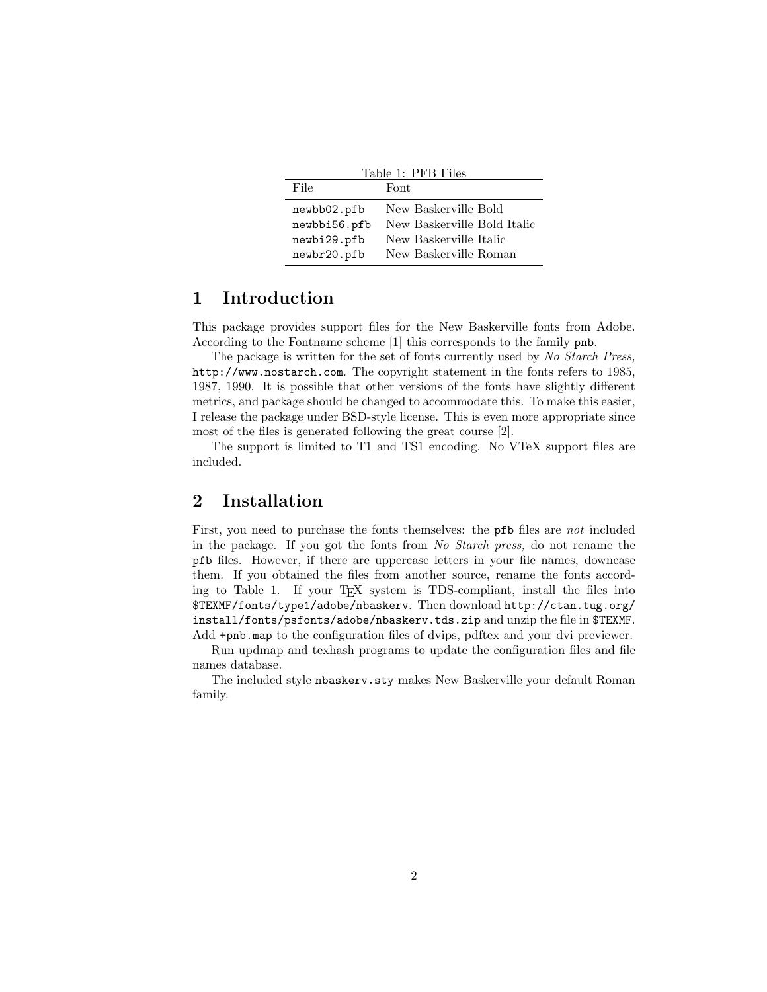<span id="page-1-2"></span>

| Table 1: PFB Files                         |                                                                               |  |  |  |  |  |
|--------------------------------------------|-------------------------------------------------------------------------------|--|--|--|--|--|
| File                                       | Font.                                                                         |  |  |  |  |  |
| newbb02.pfb<br>newbbi56.pfb<br>newbi29.pfb | New Baskerville Bold<br>New Baskerville Bold Italic<br>New Baskerville Italic |  |  |  |  |  |
| newbr20.pfb                                | New Baskerville Roman                                                         |  |  |  |  |  |

#### <span id="page-1-0"></span>1 Introduction

This package provides support files for the New Baskerville fonts from Adobe. According to the Fontname scheme [\[1\]](#page-5-0) this corresponds to the family pnb.

The package is written for the set of fonts currently used by No Starch Press, <http://www.nostarch.com>. The copyright statement in the fonts refers to 1985, 1987, 1990. It is possible that other versions of the fonts have slightly different metrics, and package should be changed to accommodate this. To make this easier, I release the package under BSD-style license. This is even more appropriate since most of the files is generated following the great course [\[2\]](#page-5-1).

The support is limited to T1 and TS1 encoding. No VTeX support files are included.

#### <span id="page-1-1"></span>2 Installation

First, you need to purchase the fonts themselves: the **pfb** files are not included in the package. If you got the fonts from No Starch press, do not rename the pfb files. However, if there are uppercase letters in your file names, downcase them. If you obtained the files from another source, rename the fonts according to Table [1.](#page-1-2) If your TEX system is TDS-compliant, install the files into \$TEXMF/fonts/type1/adobe/nbaskerv. Then download [http://ctan.tug.org/](http://ctan.tug.org/install/fonts/psfonts/adobe/nbaskerv.tds.zip) [install/fonts/psfonts/adobe/nbaskerv.tds.zip](http://ctan.tug.org/install/fonts/psfonts/adobe/nbaskerv.tds.zip) and unzip the file in \$TEXMF. Add +pnb.map to the configuration files of dvips, pdftex and your dvi previewer.

Run updmap and texhash programs to update the configuration files and file names database.

The included style nbaskerv.sty makes New Baskerville your default Roman family.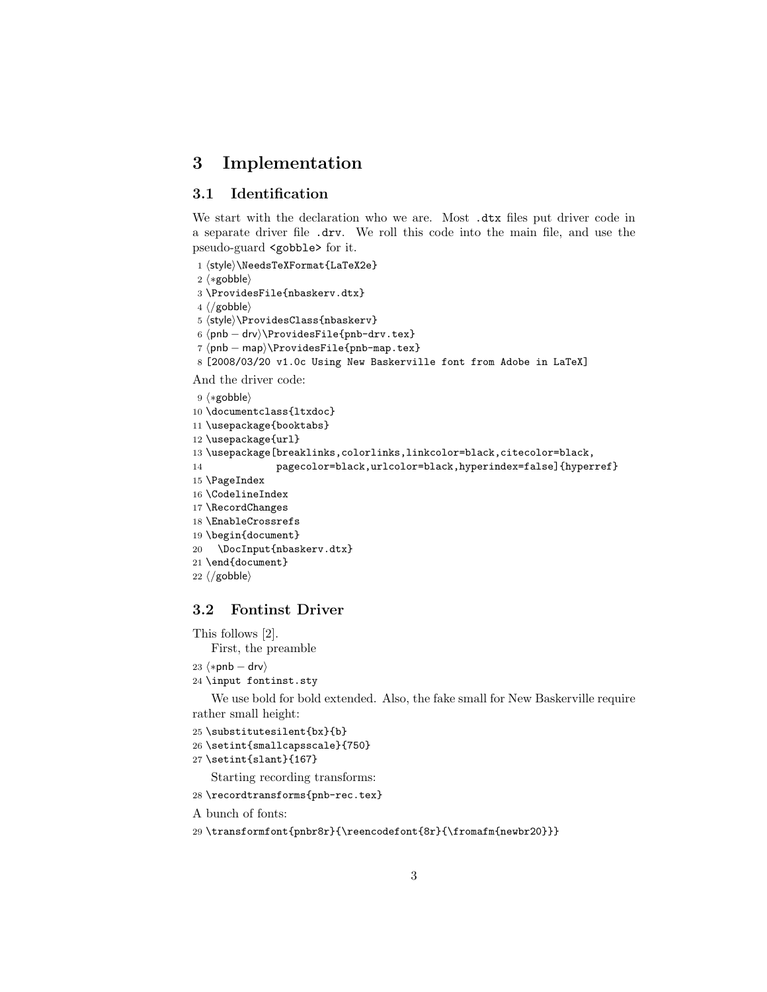### <span id="page-2-0"></span>3 Implementation

#### <span id="page-2-1"></span>3.1 Identification

We start with the declaration who we are. Most .dtx files put driver code in a separate driver file .drv. We roll this code into the main file, and use the pseudo-guard <gobble> for it.

1 (style)\NeedsTeXFormat{LaTeX2e}

- 2  $\langle \ast \text{gobble} \rangle$
- 3 \ProvidesFile{nbaskerv.dtx}
- $4 \langle /g_{\rm o}$ bble $\rangle$

5 (style)\ProvidesClass{nbaskerv}

6 (pnb – drv)\ProvidesFile{pnb-drv.tex}

7 (pnb – map)\ProvidesFile{pnb-map.tex}

```
8 [2008/03/20 v1.0c Using New Baskerville font from Adobe in LaTeX]
```
And the driver code:

```
9 \langle \ast \text{gobble} \rangle10 \documentclass{ltxdoc}
11 \usepackage{booktabs}
12 \usepackage{url}
13 \usepackage[breaklinks,colorlinks,linkcolor=black,citecolor=black,
14 pagecolor=black,urlcolor=black,hyperindex=false]{hyperref}
15 \PageIndex
16 \CodelineIndex
17 \RecordChanges
18 \EnableCrossrefs
19 \begin{document}
20 \DocInput{nbaskerv.dtx}
21 \end{document}
22 \langle /gobble \rangle
```
#### <span id="page-2-2"></span>3.2 Fontinst Driver

This follows [\[2\]](#page-5-1). First, the preamble

- $23$   $\langle *phb drv \rangle$
- 24 \input fontinst.sty

We use bold for bold extended. Also, the fake small for New Baskerville require rather small height:

25 \substitutesilent{bx}{b}

```
26 \setint{smallcapsscale}{750}
```
27 \setint{slant}{167}

Starting recording transforms:

28 \recordtransforms{pnb-rec.tex}

A bunch of fonts:

```
29 \transformfont{pnbr8r}{\reencodefont{8r}{\fromafm{newbr20}}}
```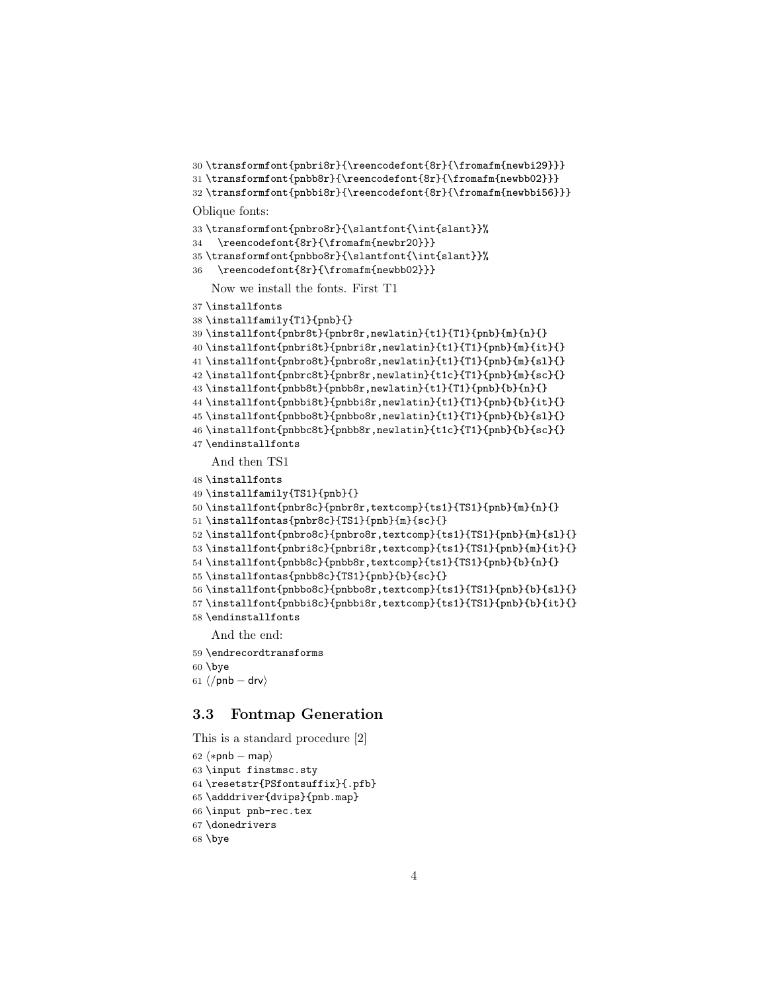```
30 \transformfont{pnbri8r}{\reencodefont{8r}{\fromafm{newbi29}}}
```

```
31 \transformfont{pnbb8r}{\reencodefont{8r}{\fromafm{newbb02}}}
```

```
32 \transformfont{pnbbi8r}{\reencodefont{8r}{\fromafm{newbbi56}}}
```
Oblique fonts:

```
33 \transformfont{pnbro8r}{\slantfont{\int{slant}}%
```

```
34 \reencodefont{8r}{\fromafm{newbr20}}}
```

```
35 \transformfont{pnbbo8r}{\slantfont{\int{slant}}%
```
\reencodefont{8r}{\fromafm{newbb02}}}

Now we install the fonts. First T1

```
37 \installfonts
```

```
38 \installfamily{T1}{pnb}{}
```

```
39 \installfont{pnbr8t}{pnbr8r,newlatin}{t1}{T1}{pnb}{m}{n}{}
40 \installfont{pnbri8t}{pnbri8r,newlatin}{t1}{T1}{pnb}{m}{it}{}
41 \installfont{pnbro8t}{pnbro8r,newlatin}{t1}{T1}{pnb}{m}{sl}{}
42 \installfont{pnbrc8t}{pnbr8r,newlatin}{t1c}{T1}{pnb}{m}{sc}{}
43 \installfont{pnbb8t}{pnbb8r,newlatin}{t1}{T1}{pnb}{b}{n}{}
44 \installfont{pnbbi8t}{pnbbi8r,newlatin}{t1}{T1}{pnb}{b}{it}{}
45 \installfont{pnbbo8t}{pnbbo8r,newlatin}{t1}{T1}{pnb}{b}{sl}{}
46 \installfont{pnbbc8t}{pnbb8r,newlatin}{t1c}{T1}{pnb}{b}{sc}{}
47 \endinstallfonts
```
And then TS1

```
48 \installfonts
```

```
49 \installfamily{TS1}{pnb}{}
```

```
50 \installfont{pnbr8c}{pnbr8r,textcomp}{ts1}{TS1}{pnb}{m}{n}{}
```

```
51 \installfontas{pnbr8c}{TS1}{pnb}{m}{sc}{}
```

```
52 \installfont{pnbro8c}{pnbro8r,textcomp}{ts1}{TS1}{pnb}{m}{sl}{}
```

```
53 \installfont{pnbri8c}{pnbri8r,textcomp}{ts1}{TS1}{pnb}{m}{it}{}
```

```
54 \installfont{pnbb8c}{pnbb8r,textcomp}{ts1}{TS1}{pnb}{b}{n}{}
```

```
55 \installfontas{pnbb8c}{TS1}{pnb}{b}{sc}{}
```

```
56 \installfont{pnbbo8c}{pnbbo8r,textcomp}{ts1}{TS1}{pnb}{b}{sl}{}
```

```
57 \installfont{pnbbi8c}{pnbbi8r,textcomp}{ts1}{TS1}{pnb}{b}{it}{}
```

```
58 \endinstallfonts
```
And the end:

```
59 \endrecordtransforms
```

```
60 \bye
```

```
61 \langle/pnb – drv\rangle
```
#### <span id="page-3-0"></span>3.3 Fontmap Generation

This is a standard procedure [\[2\]](#page-5-1)

```
62 \langle *pnb - map \rangle63 \input finstmsc.sty
64 \resetstr{PSfontsuffix}{.pfb}
65 \adddriver{dvips}{pnb.map}
66 \input pnb-rec.tex
67 \donedrivers
68 \bye
```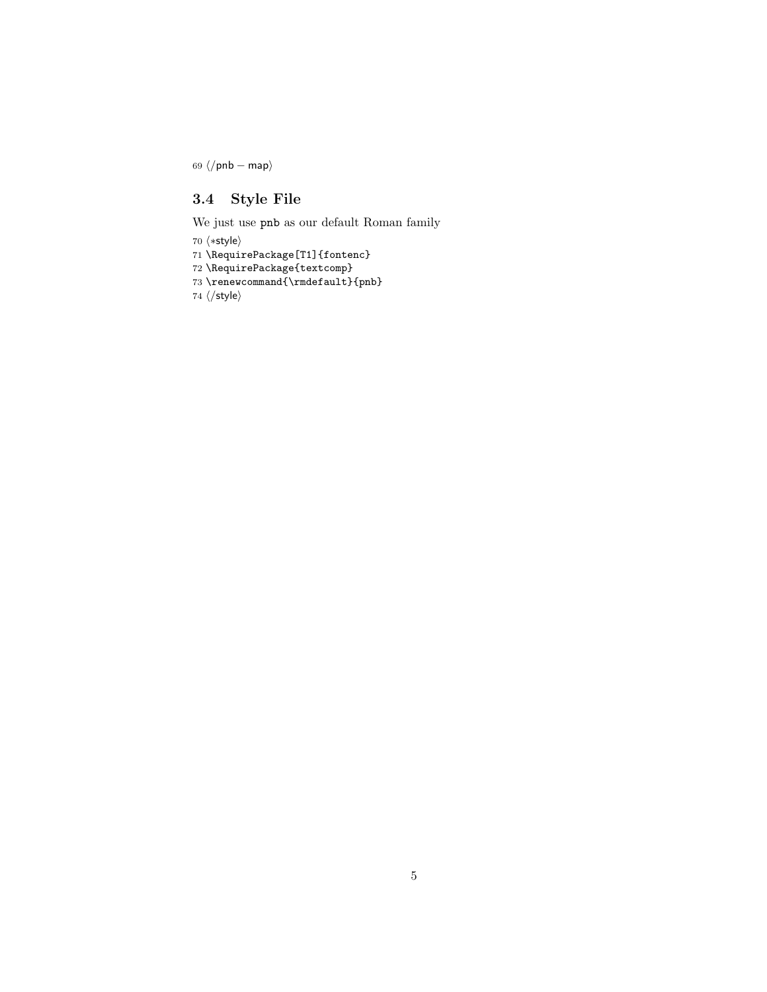69  $\langle$ /pnb − map $\rangle$ 

#### <span id="page-4-0"></span>3.4 Style File

We just use pnb as our default Roman family

70  $\langle *style \rangle$ 

71 \RequirePackage[T1]{fontenc}

72 \RequirePackage{textcomp}

 $73 \verb|\remewcommand{{\rmfault}{fphb}|$ 

74  $\langle$ /style $\rangle$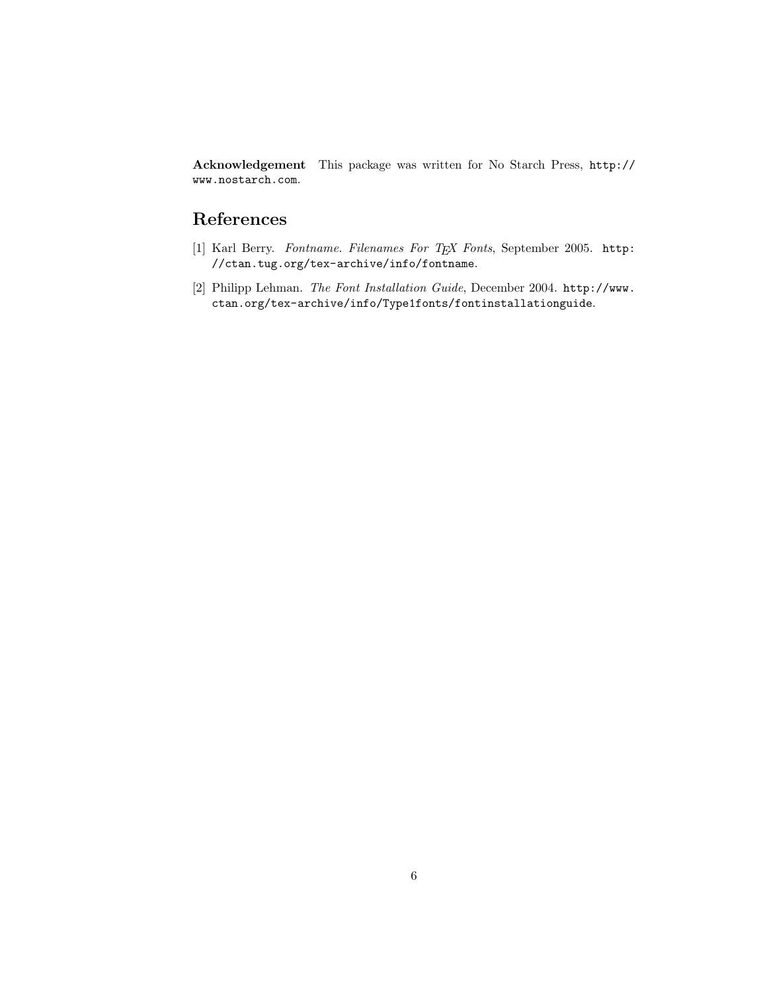Acknowledgement This package was written for No Starch Press, [http://](http://www.nostarch.com) [www.nostarch.com](http://www.nostarch.com).

## References

- <span id="page-5-0"></span>[1] Karl Berry. Fontname. Filenames For TEX Fonts, September 2005. [http:](http://ctan.tug.org/tex-archive/info/fontname) [//ctan.tug.org/tex-archive/info/fontname](http://ctan.tug.org/tex-archive/info/fontname).
- <span id="page-5-1"></span>[2] Philipp Lehman. The Font Installation Guide, December 2004. [http://www.](http://www.ctan.org/tex-archive/info/Type1fonts/fontinstallationguide) [ctan.org/tex-archive/info/Type1fonts/fontinstallationguide](http://www.ctan.org/tex-archive/info/Type1fonts/fontinstallationguide).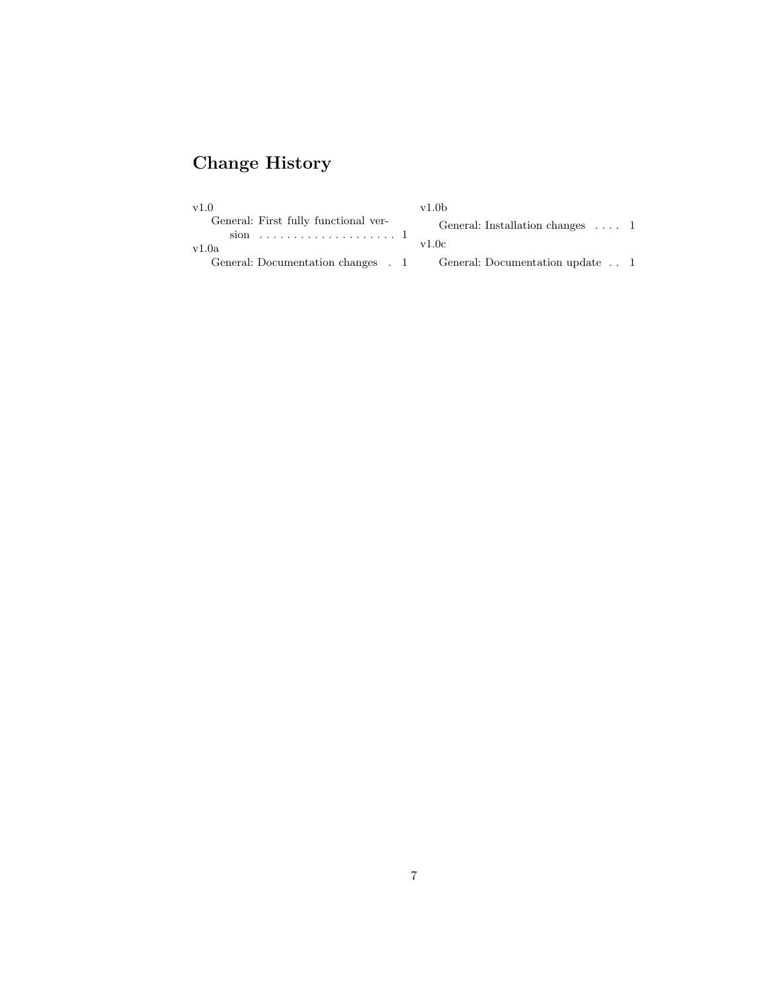## Change History

| v1.0                                 | v1.0 <sub>b</sub>                       |  |  |
|--------------------------------------|-----------------------------------------|--|--|
| General: First fully functional ver- | General: Installation changes $\dots$ 1 |  |  |
| v1.0a                                | v1.0c                                   |  |  |
| General: Documentation changes . 1   | General: Documentation update 1         |  |  |